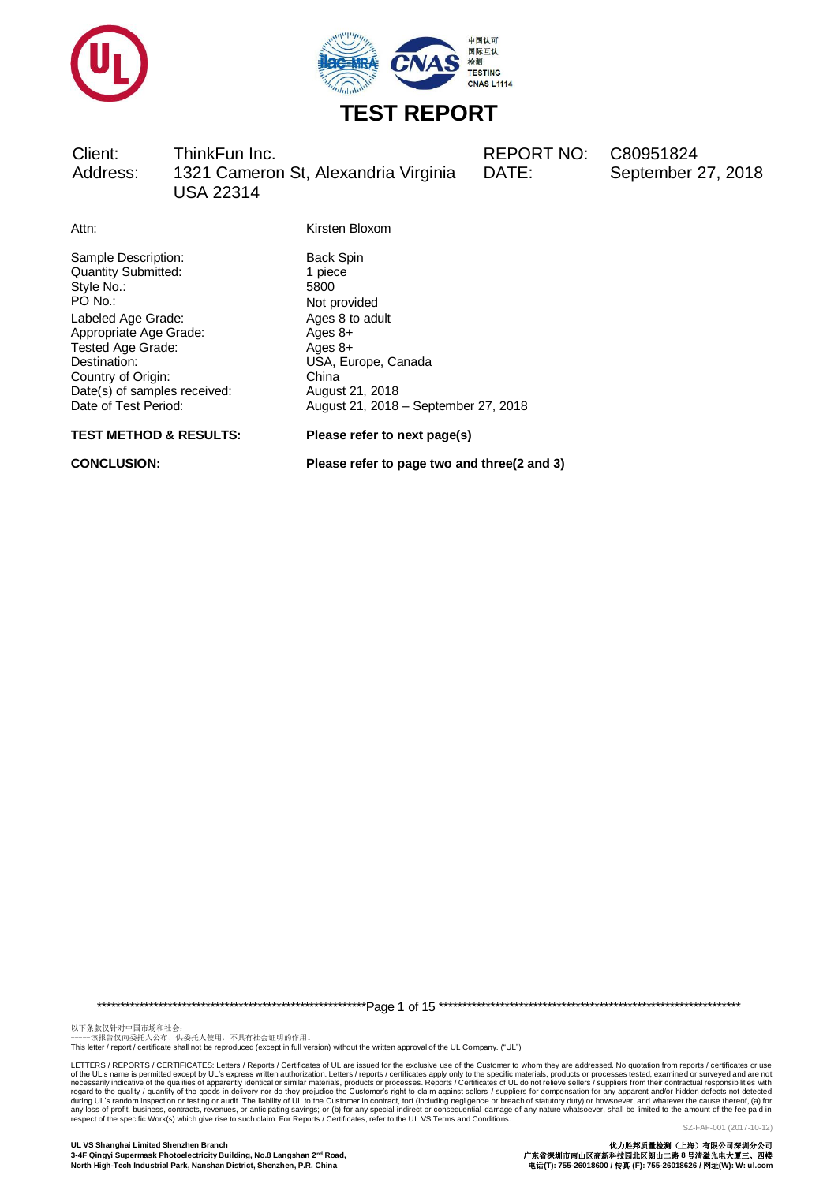



Client: ThinkFun Inc. REPORT NO: C80951824 Address: 1321 Cameron St, Alexandria Virginia USA 22314

DATE: September 27, 2018

Attn: Kirsten Bloxom

Sample Description: Back Spin Back Spin Quantity Submitted: 1 piece Quantity Submitted: 1 pieces 1 pieces 1 pieces 1 pieces 3 pieces 1 pieces 3 pieces 3 pieces 3 pieces 3 pieces 3 pieces 3 pieces 3 pieces 3 pieces 3 pieces 3 pieces 3 pieces 3 pieces 3 pieces 3 pieces 3 pieces 3 pieces 3 pi Style No.:<br>PO No.: Labeled Age Grade: Ages 8 to adult<br>
Appropriate Age Grade: Ages 8+ Appropriate Age Grade: Ages 8+<br>Tested Age Grade: Ages 8+ Tested Age Grade: Destination: USA, Europe, Canada Country of Origin: China<br>
Date(s) of samples received: August 21, 2018 Date(s) of samples received:<br>Date of Test Period:

**TEST METHOD & RESULTS: Please refer to next page(s)**

Not provided August 21, 2018 – September 27, 2018

**CONCLUSION: Please refer to page two and three(2 and 3)**

\*\*\*\*\*\*\*\*\*\*\*\*\*\*\*\*\*\*\*\*\*\*\*\*\*\*\*\*\*\*\*\*\*\*\*\*\*\*\*\*\*\*\*\*\*\*\*\*\*\*\*\*\*\*\*\*\*Page 1 of 15 \*\*\*\*\*\*\*\*\*\*\*\*\*\*\*\*\*\*\*\*\*\*\*\*\*\*\*\*\*\*\*\*\*\*\*\*\*\*\*\*\*\*\*\*\*\*\*\*\*\*\*\*\*\*\*\*\*\*\*\*\*\*\*\*

以下条款仅针对中国市场和社会:<br>-----该报告仅向委托人公布、供委托人使用,不具有社会证明的作用。

This letter / report / certificate shall not be reproduced (except in full version) without the written approval of the UL Company. ("UL")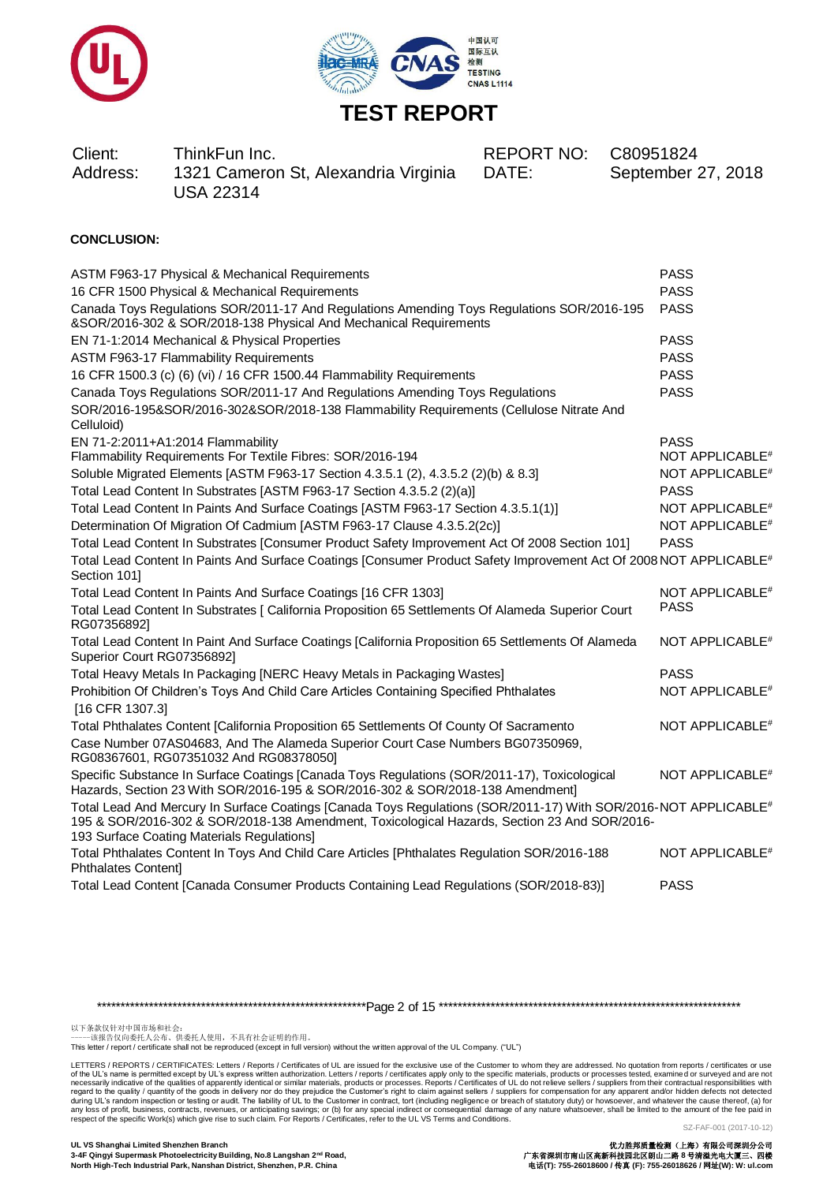



| Client:<br>ThinkFun Inc.<br>1321 Cameron St, Alexandria Virginia<br>Address:<br><b>USA 22314</b> | REPORT NO: C80951824<br>DATE: | September 27, 2018 |
|--------------------------------------------------------------------------------------------------|-------------------------------|--------------------|
|--------------------------------------------------------------------------------------------------|-------------------------------|--------------------|

### **CONCLUSION:**

| ASTM F963-17 Physical & Mechanical Requirements                                                                                                                                                                                                                           | <b>PASS</b>                 |
|---------------------------------------------------------------------------------------------------------------------------------------------------------------------------------------------------------------------------------------------------------------------------|-----------------------------|
| 16 CFR 1500 Physical & Mechanical Requirements                                                                                                                                                                                                                            | <b>PASS</b>                 |
| Canada Toys Regulations SOR/2011-17 And Regulations Amending Toys Regulations SOR/2016-195<br>&SOR/2016-302 & SOR/2018-138 Physical And Mechanical Requirements                                                                                                           | <b>PASS</b>                 |
| EN 71-1:2014 Mechanical & Physical Properties                                                                                                                                                                                                                             | <b>PASS</b>                 |
| ASTM F963-17 Flammability Requirements                                                                                                                                                                                                                                    | <b>PASS</b>                 |
| 16 CFR 1500.3 (c) (6) (vi) / 16 CFR 1500.44 Flammability Requirements                                                                                                                                                                                                     | <b>PASS</b>                 |
| Canada Toys Regulations SOR/2011-17 And Regulations Amending Toys Regulations                                                                                                                                                                                             | <b>PASS</b>                 |
| SOR/2016-195&SOR/2016-302&SOR/2018-138 Flammability Requirements (Cellulose Nitrate And<br>Celluloid)                                                                                                                                                                     |                             |
| EN 71-2:2011+A1:2014 Flammability                                                                                                                                                                                                                                         | <b>PASS</b>                 |
| Flammability Requirements For Textile Fibres: SOR/2016-194                                                                                                                                                                                                                | NOT APPLICABLE <sup>#</sup> |
| Soluble Migrated Elements [ASTM F963-17 Section 4.3.5.1 (2), 4.3.5.2 (2)(b) & 8.3]                                                                                                                                                                                        | NOT APPLICABLE <sup>#</sup> |
| Total Lead Content In Substrates [ASTM F963-17 Section 4.3.5.2 (2)(a)]                                                                                                                                                                                                    | <b>PASS</b>                 |
| Total Lead Content In Paints And Surface Coatings [ASTM F963-17 Section 4.3.5.1(1)]                                                                                                                                                                                       | NOT APPLICABLE <sup>#</sup> |
| Determination Of Migration Of Cadmium [ASTM F963-17 Clause 4.3.5.2(2c)]                                                                                                                                                                                                   | NOT APPLICABLE <sup>#</sup> |
| Total Lead Content In Substrates [Consumer Product Safety Improvement Act Of 2008 Section 101]                                                                                                                                                                            | <b>PASS</b>                 |
| Total Lead Content In Paints And Surface Coatings [Consumer Product Safety Improvement Act Of 2008 NOT APPLICABLE <sup>#</sup><br>Section 101]                                                                                                                            |                             |
| Total Lead Content In Paints And Surface Coatings [16 CFR 1303]                                                                                                                                                                                                           | NOT APPLICABLE <sup>#</sup> |
| Total Lead Content In Substrates [ California Proposition 65 Settlements Of Alameda Superior Court<br>RG07356892]                                                                                                                                                         | <b>PASS</b>                 |
| Total Lead Content In Paint And Surface Coatings [California Proposition 65 Settlements Of Alameda<br>Superior Court RG07356892]                                                                                                                                          | NOT APPLICABLE <sup>#</sup> |
| Total Heavy Metals In Packaging [NERC Heavy Metals in Packaging Wastes]                                                                                                                                                                                                   | <b>PASS</b>                 |
| Prohibition Of Children's Toys And Child Care Articles Containing Specified Phthalates<br>[16 CFR 1307.3]                                                                                                                                                                 | NOT APPLICABLE <sup>#</sup> |
| Total Phthalates Content [California Proposition 65 Settlements Of County Of Sacramento                                                                                                                                                                                   | NOT APPLICABLE <sup>#</sup> |
| Case Number 07AS04683, And The Alameda Superior Court Case Numbers BG07350969,<br>RG08367601, RG07351032 And RG08378050]                                                                                                                                                  |                             |
| Specific Substance In Surface Coatings [Canada Toys Regulations (SOR/2011-17), Toxicological<br>Hazards, Section 23 With SOR/2016-195 & SOR/2016-302 & SOR/2018-138 Amendment]                                                                                            | NOT APPLICABLE <sup>#</sup> |
| Total Lead And Mercury In Surface Coatings [Canada Toys Regulations (SOR/2011-17) With SOR/2016-NOT APPLICABLE <sup>#</sup><br>195 & SOR/2016-302 & SOR/2018-138 Amendment, Toxicological Hazards, Section 23 And SOR/2016-<br>193 Surface Coating Materials Regulations] |                             |
| Total Phthalates Content In Toys And Child Care Articles [Phthalates Regulation SOR/2016-188<br>Phthalates Content]                                                                                                                                                       | NOT APPLICABLE <sup>#</sup> |
| Total Lead Content [Canada Consumer Products Containing Lead Regulations (SOR/2018-83)]                                                                                                                                                                                   | <b>PASS</b>                 |

\*\*\*\*\*\*\*\*\*\*\*\*\*\*\*\*\*\*\*\*\*\*\*\*\*\*\*\*\*\*\*\*\*\*\*\*\*\*\*\*\*\*\*\*\*\*\*\*\*\*\*\*\*\*\*\*\*Page 2 of 15 \*\*\*\*\*\*\*\*\*\*\*\*\*\*\*\*\*\*\*\*\*\*\*\*\*\*\*\*\*\*\*\*\*\*\*\*\*\*\*\*\*\*\*\*\*\*\*\*\*\*\*\*\*\*\*\*\*\*\*\*\*\*\*\*

以下条款仅针对中国市场和社会:<br>-----该报告仅向委托人公布、供委托人使用,不具有社会证明的作用。

This letter / report / certificate shall not be reproduced (except in full version) without the written approval of the UL Company. ("UL")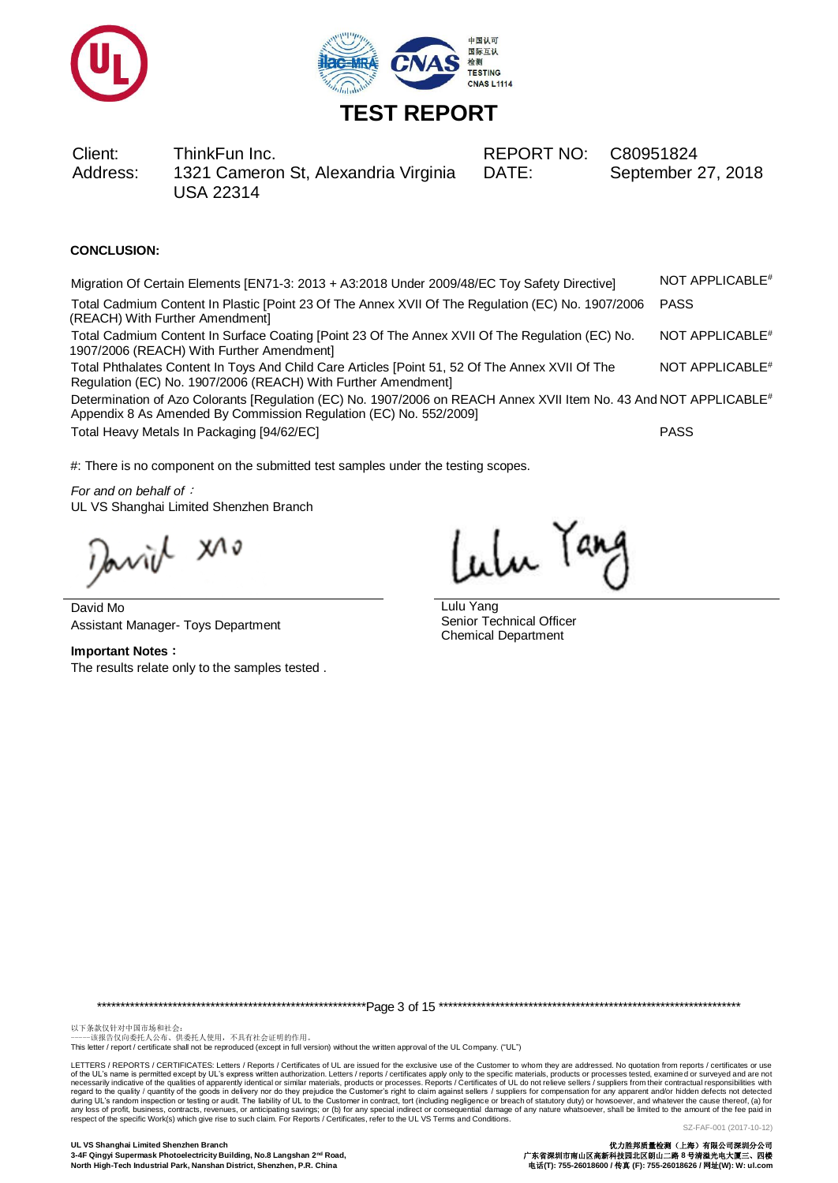



Client: ThinkFun Inc. REPORT NO: C80951824 Address: 1321 Cameron St, Alexandria Virginia USA 22314

DATE: September 27, 2018

### **CONCLUSION:**

| Migration Of Certain Elements [EN71-3: 2013 + A3:2018 Under 2009/48/EC Toy Safety Directive]                                                                                           | NOT APPLICABLE <sup>#</sup> |
|----------------------------------------------------------------------------------------------------------------------------------------------------------------------------------------|-----------------------------|
| Total Cadmium Content In Plastic [Point 23 Of The Annex XVII Of The Regulation (EC) No. 1907/2006<br>(REACH) With Further Amendment]                                                   | <b>PASS</b>                 |
| Total Cadmium Content In Surface Coating [Point 23 Of The Annex XVII Of The Regulation (EC) No.<br>1907/2006 (REACH) With Further Amendment]                                           | NOT APPLICABLE <sup>#</sup> |
| Total Phthalates Content In Toys And Child Care Articles [Point 51, 52 Of The Annex XVII Of The<br>Regulation (EC) No. 1907/2006 (REACH) With Further Amendment]                       | NOT APPLICABLE <sup>#</sup> |
| Determination of Azo Colorants [Regulation (EC) No. 1907/2006 on REACH Annex XVII Item No. 43 And NOT APPLICABLE#<br>Appendix 8 As Amended By Commission Regulation (EC) No. 552/2009] |                             |
| Total Heavy Metals In Packaging [94/62/EC]                                                                                                                                             | <b>PASS</b>                 |

#: There is no component on the submitted test samples under the testing scopes.

*For and on behalf of*: UL VS Shanghai Limited Shenzhen Branch

anich xio

David Mo Assistant Manager- Toys Department

**Important Notes**: The results relate only to the samples tested .

Lulu Tang

Lulu Yang Senior Technical Officer Chemical Department

\*\*\*\*\*\*\*\*\*\*\*\*\*\*\*\*\*\*\*\*\*\*\*\*\*\*\*\*\*\*\*\*\*\*\*\*\*\*\*\*\*\*\*\*\*\*\*\*\*\*\*\*\*\*\*\*\*Page 3 of 15 \*\*\*\*\*\*\*\*\*\*\*\*\*\*\*\*\*\*\*\*\*\*\*\*\*\*\*\*\*\*\*\*\*\*\*\*\*\*\*\*\*\*\*\*\*\*\*\*\*\*\*\*\*\*\*\*\*\*\*\*\*\*\*\*

以下条款仅针对中国市场和社会:<br>-----该报告仅向委托人公布、供委托人使用,不具有社会证明的作用。

This letter / report / certificate shall not be reproduced (except in full version) without the written approval of the UL Company. ("UL")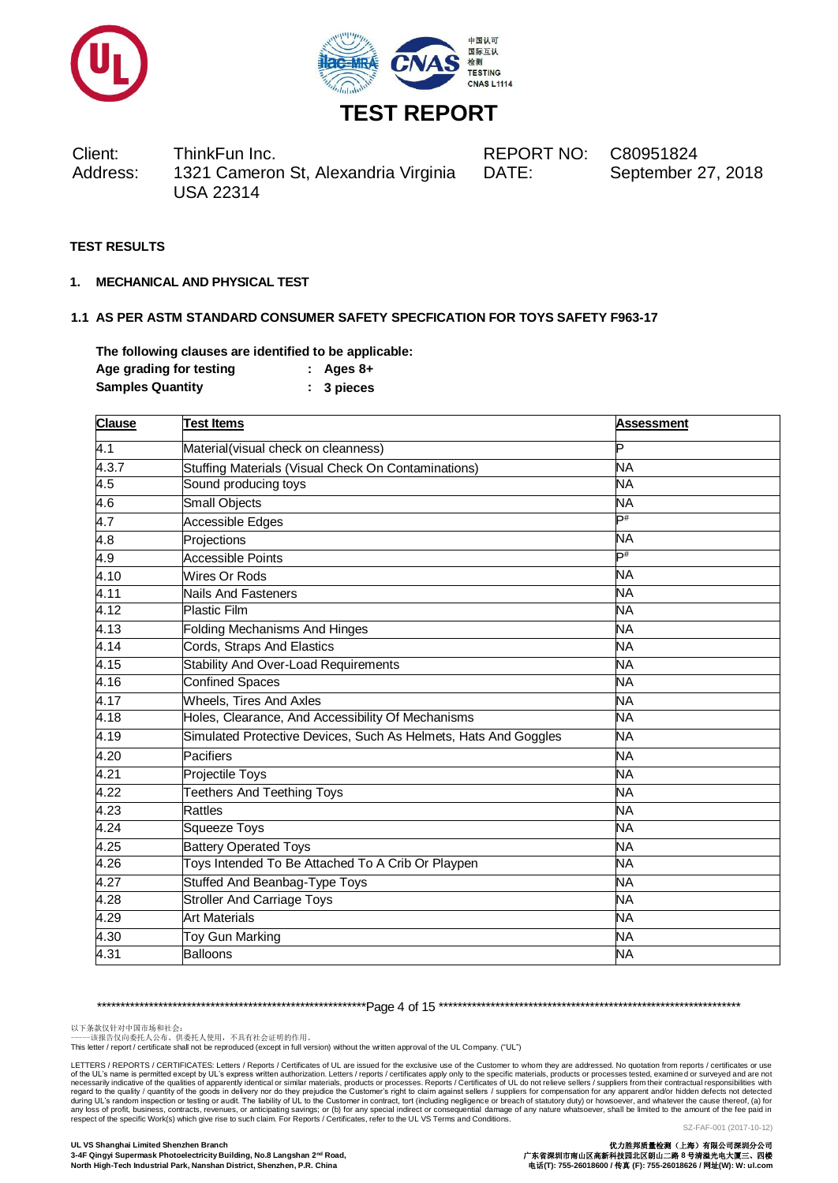



Client: ThinkFun Inc. REPORT NO: C80951824 Address: 1321 Cameron St, Alexandria Virginia USA 22314

DATE: September 27, 2018

### **TEST RESULTS**

**1. MECHANICAL AND PHYSICAL TEST**

### **1.1 AS PER ASTM STANDARD CONSUMER SAFETY SPECFICATION FOR TOYS SAFETY F963-17**

**The following clauses are identified to be applicable: Age grading for testing : Ages 8+ Samples Quantity : 3 pieces**

| <b>Clause</b> | <b>Test Items</b>                                               | <b>Assessment</b> |  |  |
|---------------|-----------------------------------------------------------------|-------------------|--|--|
| 4.1           | Material(visual check on cleanness)                             | P                 |  |  |
| 4.3.7         | Stuffing Materials (Visual Check On Contaminations)             | <b>NA</b>         |  |  |
| 4.5           | Sound producing toys                                            | <b>NA</b>         |  |  |
| 4.6           | Small Objects                                                   | <b>NA</b>         |  |  |
| 4.7           | Accessible Edges                                                | Þ#                |  |  |
| 4.8           | Projections                                                     | <b>NA</b>         |  |  |
| 4.9           | <b>Accessible Points</b>                                        | Þ#                |  |  |
| 4.10          | Wires Or Rods                                                   | NΑ                |  |  |
| 4.11          | Nails And Fasteners                                             | <b>NA</b>         |  |  |
| 4.12          | <b>Plastic Film</b>                                             | <b>NA</b>         |  |  |
| 4.13          | <b>Folding Mechanisms And Hinges</b>                            | <b>NA</b>         |  |  |
| 4.14          | Cords, Straps And Elastics                                      | <b>NA</b>         |  |  |
| 4.15          | <b>Stability And Over-Load Requirements</b>                     | <b>NA</b>         |  |  |
| 4.16          | <b>Confined Spaces</b>                                          | <b>NA</b>         |  |  |
| 4.17          | <b>Wheels, Tires And Axles</b>                                  | NΑ                |  |  |
| 4.18          | Holes, Clearance, And Accessibility Of Mechanisms               | <b>NA</b>         |  |  |
| 4.19          | Simulated Protective Devices, Such As Helmets, Hats And Goggles | NΑ                |  |  |
| 4.20          | Pacifiers                                                       | <b>NA</b>         |  |  |
| 4.21          | Projectile Toys                                                 | NΑ                |  |  |
| 4.22          | <b>Teethers And Teething Toys</b>                               | <b>NA</b>         |  |  |
| 4.23          | Rattles                                                         | <b>NA</b>         |  |  |
| 4.24          | <b>Squeeze Toys</b>                                             | <b>NA</b>         |  |  |
| 4.25          | <b>Battery Operated Toys</b>                                    | NΑ                |  |  |
| 4.26          | Toys Intended To Be Attached To A Crib Or Playpen               | <b>NA</b>         |  |  |
| 4.27          | <b>Stuffed And Beanbag-Type Toys</b>                            | <b>NA</b>         |  |  |
| 4.28          | <b>Stroller And Carriage Toys</b>                               | NΑ                |  |  |
| 4.29          | <b>Art Materials</b>                                            | <b>NA</b>         |  |  |
| 4.30          | Toy Gun Marking                                                 | <b>NA</b>         |  |  |
| 4.31          | <b>Balloons</b>                                                 | <b>NA</b>         |  |  |

\*\*\*\*\*\*\*\*\*\*\*\*\*\*\*\*\*\*\*\*\*\*\*\*\*\*\*\*\*\*\*\*\*\*\*\*\*\*\*\*\*\*\*\*\*\*\*\*\*\*\*\*\*\*\*\*\*Page 4 of 15 \*\*\*\*\*\*\*\*\*\*\*\*\*\*\*\*\*\*\*\*\*\*\*\*\*\*\*\*\*\*\*\*\*\*\*\*\*\*\*\*\*\*\*\*\*\*\*\*\*\*\*\*\*\*\*\*\*\*\*\*\*\*\*\*

以下条款仅针对中国市场和社会:<br>-----该报告仅向委托人公布、供委托人使用,不具有社会证明的作用。

This letter / report / certificate shall not be reproduced (except in full version) without the written approval of the UL Company. ("UL")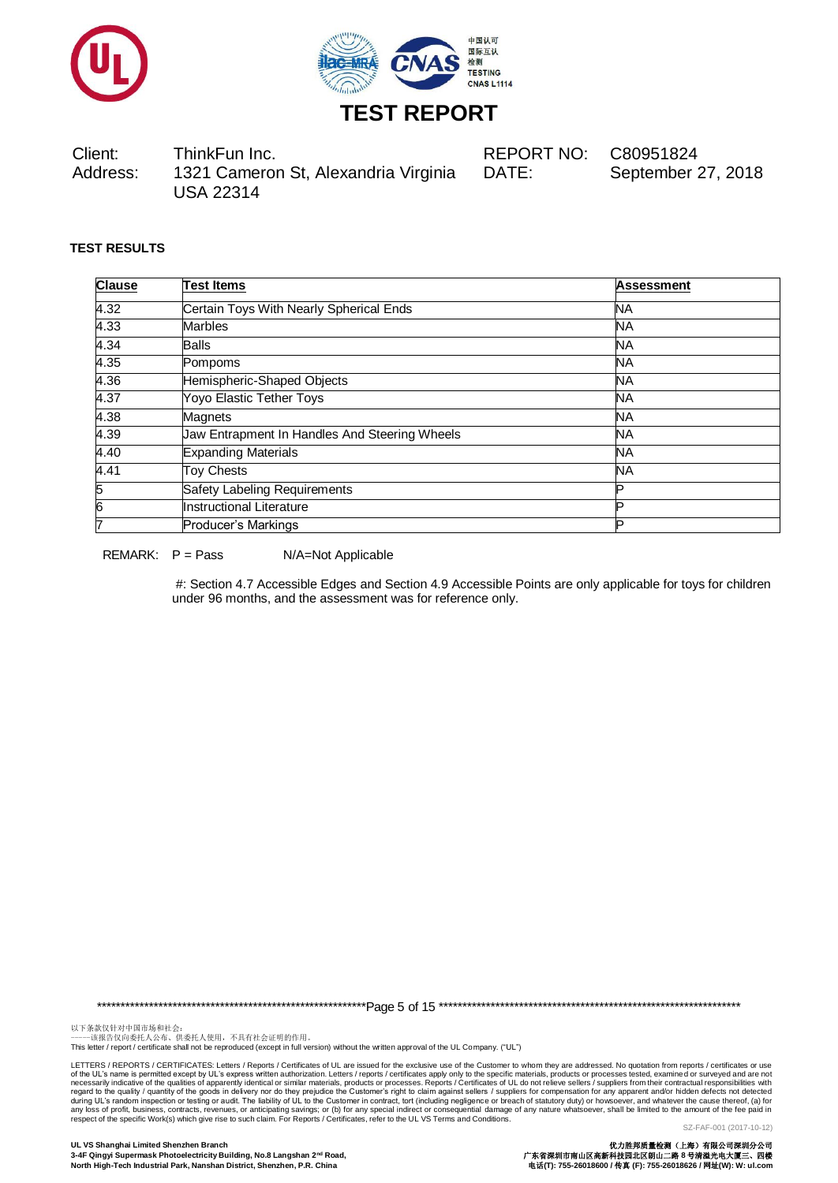



Client: ThinkFun Inc. REPORT NO: C80951824 Address: 1321 Cameron St, Alexandria Virginia USA 22314 DATE: September 27, 2018

### **TEST RESULTS**

| <b>Clause</b> | <b>Test Items</b>                             | <b>Assessment</b> |  |  |
|---------------|-----------------------------------------------|-------------------|--|--|
| 4.32          | Certain Toys With Nearly Spherical Ends       | NA                |  |  |
| 4.33          | <b>Marbles</b>                                | <b>NA</b>         |  |  |
| 4.34          | <b>Balls</b>                                  | <b>NA</b>         |  |  |
| 4.35          | Pompoms                                       | <b>NA</b>         |  |  |
| 4.36          | Hemispheric-Shaped Objects                    | <b>NA</b>         |  |  |
| 4.37          | Yoyo Elastic Tether Toys                      | <b>NA</b>         |  |  |
| 4.38          | <b>Magnets</b>                                | <b>NA</b>         |  |  |
| 4.39          | Jaw Entrapment In Handles And Steering Wheels | <b>NA</b>         |  |  |
| 4.40          | <b>Expanding Materials</b>                    | <b>NA</b>         |  |  |
| 4.41          | <b>Toy Chests</b>                             | <b>NA</b>         |  |  |
| 5             | Safety Labeling Requirements                  |                   |  |  |
| 6             | Instructional Literature                      |                   |  |  |
| 17            | Producer's Markings                           | םו                |  |  |

REMARK: P = Pass N/A=Not Applicable

#: Section 4.7 Accessible Edges and Section 4.9 Accessible Points are only applicable for toys for children under 96 months, and the assessment was for reference only.

\*\*\*\*\*\*\*\*\*\*\*\*\*\*\*\*\*\*\*\*\*\*\*\*\*\*\*\*\*\*\*\*\*\*\*\*\*\*\*\*\*\*\*\*\*\*\*\*\*\*\*\*\*\*\*\*\*Page 5 of 15 \*\*\*\*\*\*\*\*\*\*\*\*\*\*\*\*\*\*\*\*\*\*\*\*\*\*\*\*\*\*\*\*\*\*\*\*\*\*\*\*\*\*\*\*\*\*\*\*\*\*\*\*\*\*\*\*\*\*\*\*\*\*\*\*

以下条款仅针对中国市场和社会:<br>-----该报告仅向委托人公布、供委托人使用,不具有社会证明的作用。

This letter / report / certificate shall not be reproduced (except in full version) without the written approval of the UL Company. ("UL")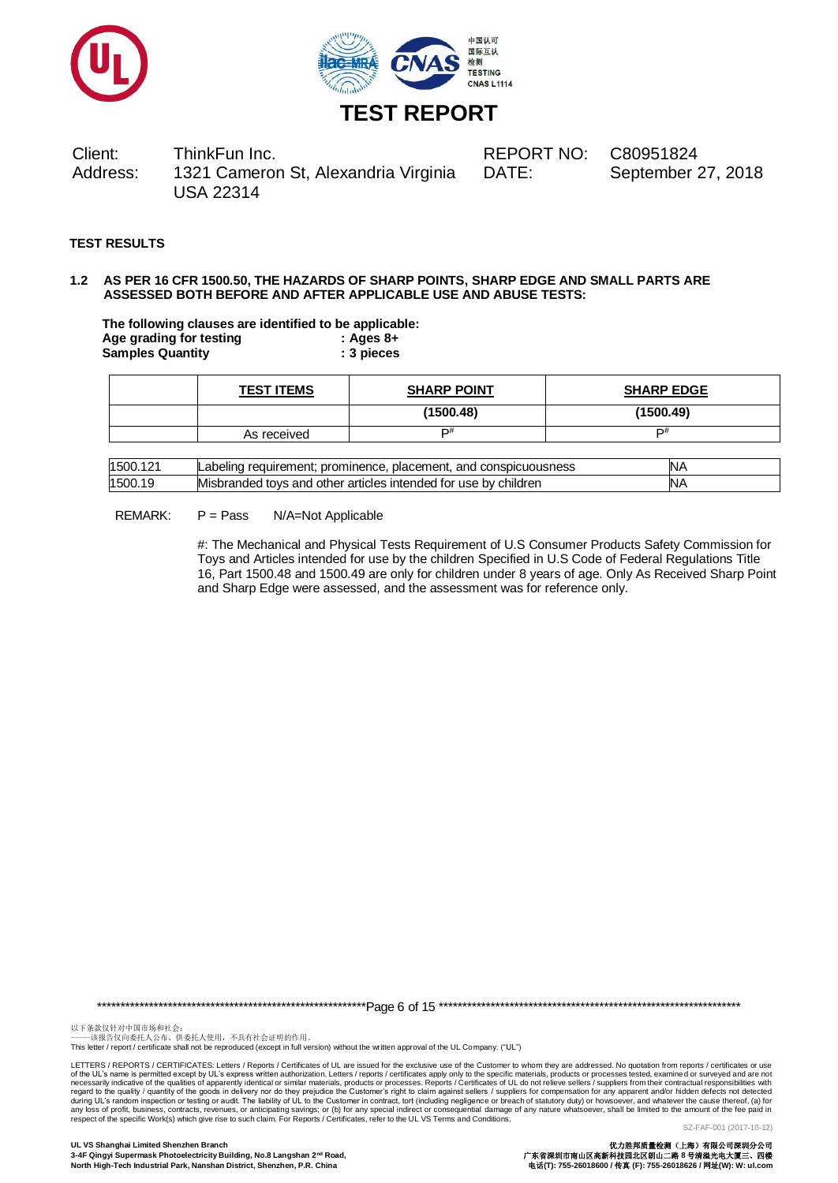



Client: ThinkFun Inc. REPORT NO: C80951824 Address: 1321 Cameron St, Alexandria Virginia USA 22314

DATE: September 27, 2018

### **TEST RESULTS**

#### **1.2 AS PER 16 CFR 1500.50, THE HAZARDS OF SHARP POINTS, SHARP EDGE AND SMALL PARTS ARE ASSESSED BOTH BEFORE AND AFTER APPLICABLE USE AND ABUSE TESTS:**

**The following clauses are identified to be applicable: Age grading for testing : Ages 8+ Samples Quantity : 3 pieces**

| <b>TEST ITEMS</b> | <b>SHARP POINT</b> | <b>SHARP EDGE</b> |
|-------------------|--------------------|-------------------|
|                   | (1500.48)          | (1500.49)         |
| As received       | D#                 | D#                |

| 150C  | prominence.<br>placement.<br>and<br>' conspicuousness<br>reaurrement:<br>_abelino | N۶  |
|-------|-----------------------------------------------------------------------------------|-----|
| 1500. | r articles intended for use by children<br>" Misbranded tovs and other            | 'Nz |

#### REMARK: P = Pass N/A=Not Applicable

#: The Mechanical and Physical Tests Requirement of U.S Consumer Products Safety Commission for Toys and Articles intended for use by the children Specified in U.S Code of Federal Regulations Title 16, Part 1500.48 and 1500.49 are only for children under 8 years of age. Only As Received Sharp Point and Sharp Edge were assessed, and the assessment was for reference only.

\*\*\*\*\*\*\*\*\*\*\*\*\*\*\*\*\*\*\*\*\*\*\*\*\*\*\*\*\*\*\*\*\*\*\*\*\*\*\*\*\*\*\*\*\*\*\*\*\*\*\*\*\*\*\*\*\*Page 6 of 15 \*\*\*\*\*\*\*\*\*\*\*\*\*\*\*\*\*\*\*\*\*\*\*\*\*\*\*\*\*\*\*\*\*\*\*\*\*\*\*\*\*\*\*\*\*\*\*\*\*\*\*\*\*\*\*\*\*\*\*\*\*\*\*\*

以下条款仅针对中国市场和社会:<br>-----该报告仅向委托人公布、供委托人使用,不具有社会证明的作用。

This letter / report / certificate shall not be reproduced (except in full version) without the written approval of the UL Company. ("UL")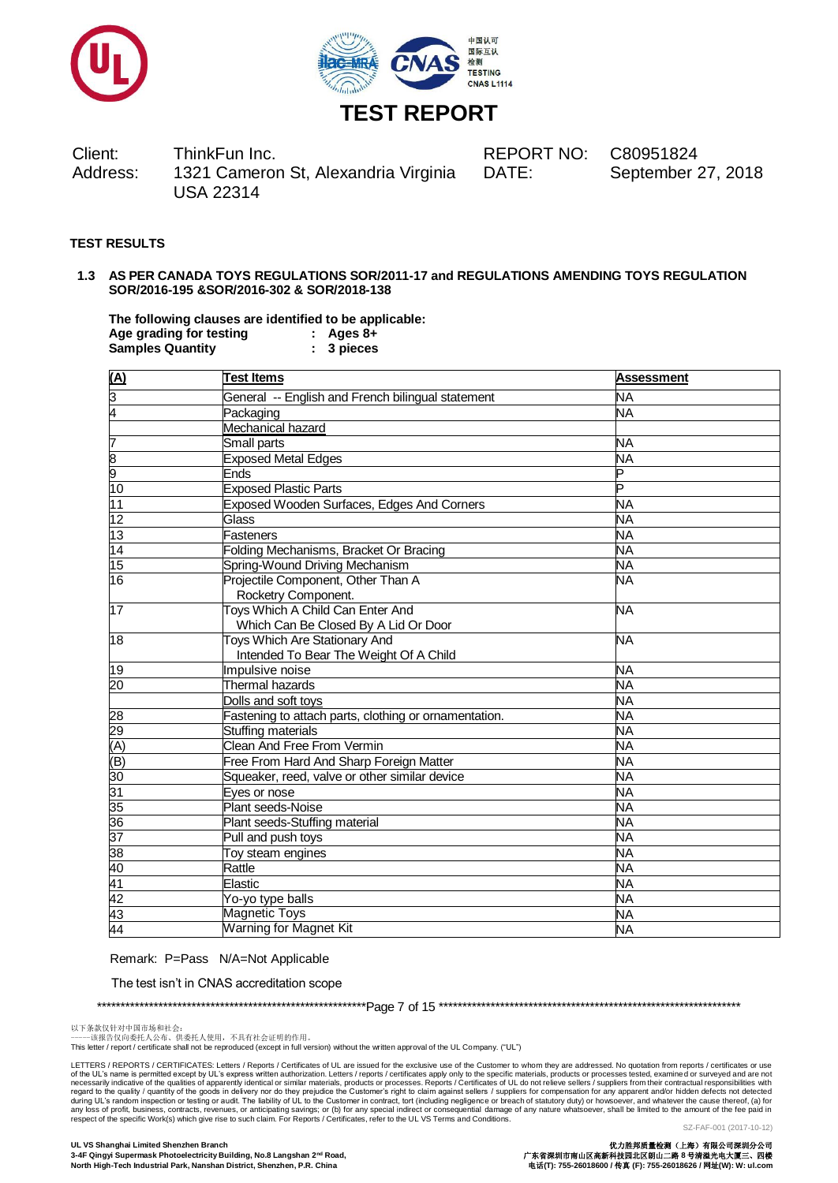



Client: ThinkFun Inc. REPORT NO: C80951824 Address: 1321 Cameron St, Alexandria Virginia USA 22314

DATE: September 27, 2018

### **TEST RESULTS**

### **1.3 AS PER CANADA TOYS REGULATIONS SOR/2011-17 and REGULATIONS AMENDING TOYS REGULATION SOR/2016-195 &SOR/2016-302 & SOR/2018-138**

**The following clauses are identified to be applicable: Age grading for testing : Ages 8+ Samples Quantity : 3 pieces**

| $(\overline{A})$ | <b>Test Items</b>                                                        | <b>Assessment</b> |
|------------------|--------------------------------------------------------------------------|-------------------|
| <u>ლ</u>         | General -- English and French bilingual statement                        | <b>NA</b>         |
| 4                | Packaging                                                                | NA                |
|                  | Mechanical hazard                                                        |                   |
| 7                | Small parts                                                              | <b>NA</b>         |
|                  | <b>Exposed Metal Edges</b>                                               | NA                |
| $\frac{8}{10}$   | Ends                                                                     | Þ                 |
|                  | <b>Exposed Plastic Parts</b>                                             | P                 |
| $\overline{11}$  | Exposed Wooden Surfaces, Edges And Corners                               | <b>NA</b>         |
| 12               | Glass                                                                    | NA                |
| 13               | Fasteners                                                                | <b>NA</b>         |
| 14               | Folding Mechanisms, Bracket Or Bracing                                   | NĀ                |
| 15               | Spring-Wound Driving Mechanism                                           | <b>NA</b>         |
| 16               | Projectile Component, Other Than A<br>Rocketry Component.                | NΑ                |
| $\overline{17}$  | Toys Which A Child Can Enter And<br>Which Can Be Closed By A Lid Or Door | <b>NA</b>         |
| $\overline{18}$  | Toys Which Are Stationary And<br>Intended To Bear The Weight Of A Child  | <b>NA</b>         |
| 19               | Impulsive noise                                                          | <b>NA</b>         |
| 20               | Thermal hazards                                                          | NΑ                |
|                  | Dolls and soft toys                                                      | <b>NA</b>         |
| 28               | Fastening to attach parts, clothing or ornamentation.                    | <b>NA</b>         |
| 29               | Stuffing materials                                                       | <b>NA</b>         |
| (A)              | Clean And Free From Vermin                                               | <b>NA</b>         |
| (B)              | Free From Hard And Sharp Foreign Matter                                  | <b>NA</b>         |
| 30               | Squeaker, reed, valve or other similar device                            | NΑ                |
| 31               | Eyes or nose                                                             | NΑ                |
| 35               | Plant seeds-Noise                                                        | NΑ                |
| 36               | Plant seeds-Stuffing material                                            | NA                |
| 37               | Pull and push toys                                                       | NA                |
| 38               | Toy steam engines                                                        | <b>NA</b>         |
| 40               | Rattle                                                                   | <b>NA</b>         |
| 41               | Elastic                                                                  | NA                |
| 42               | Yo-yo type balls                                                         | NΑ                |
| 43               | <b>Magnetic Toys</b>                                                     | <b>NA</b>         |
| 44               | <b>Warning for Magnet Kit</b>                                            | NΑ                |

Remark: P=Pass N/A=Not Applicable

The test isn't in CNAS accreditation scope

\*\*\*\*\*\*\*\*\*\*\*\*\*\*\*\*\*\*\*\*\*\*\*\*\*\*\*\*\*\*\*\*\*\*\*\*\*\*\*\*\*\*\*\*\*\*\*\*\*\*\*\*\*\*\*\*\*Page 7 of 15 \*\*\*\*\*\*\*\*\*\*\*\*\*\*\*\*\*\*\*\*\*\*\*\*\*\*\*\*\*\*\*\*\*\*\*\*\*\*\*\*\*\*\*\*\*\*\*\*\*\*\*\*\*\*\*\*\*\*\*\*\*\*\*\*

以下条款仅针对中国市场和社会:<br>-----该报告仅向委托人公布、供委托人使用,不具有社会证明的作用。

This letter / report / certificate shall not be reproduced (except in full version) without the written approval of the UL Company. ("UL")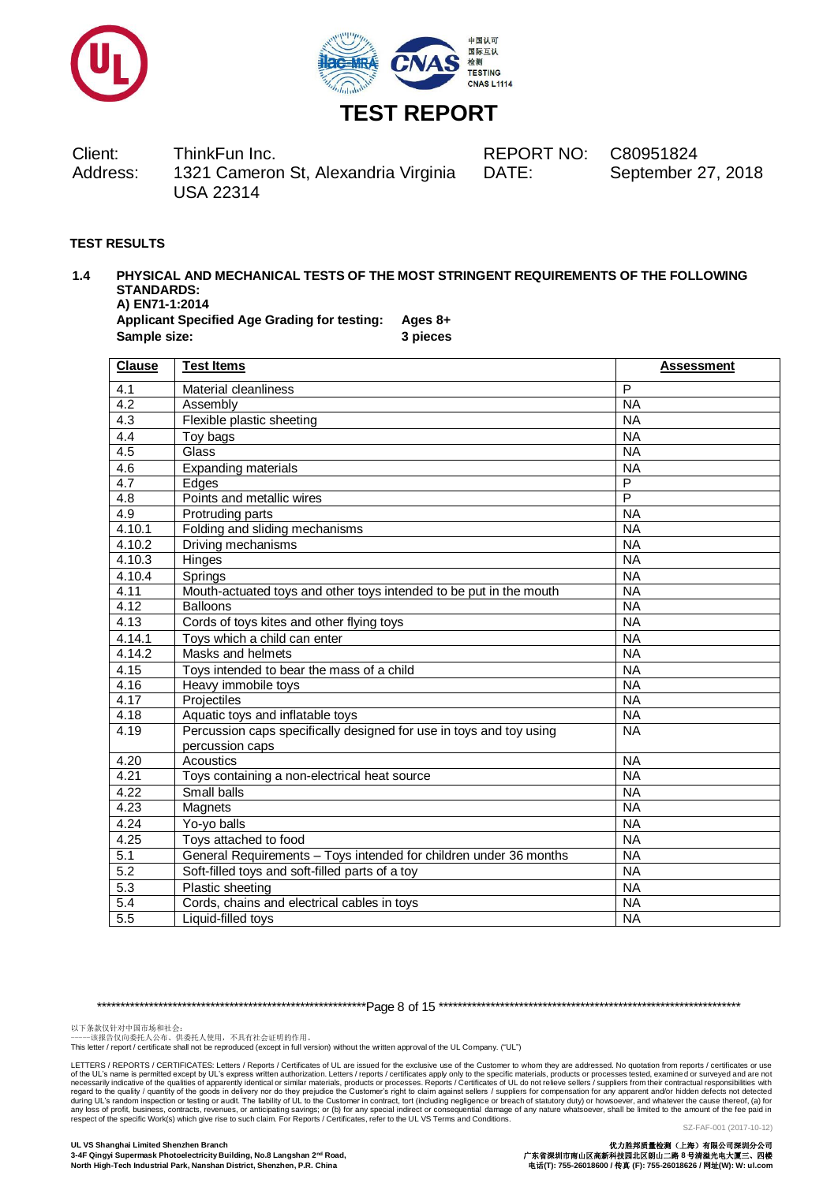



Client: ThinkFun Inc. REPORT NO: C80951824 Address: 1321 Cameron St, Alexandria Virginia USA 22314

DATE: September 27, 2018

### **TEST RESULTS**

#### **1.4 PHYSICAL AND MECHANICAL TESTS OF THE MOST STRINGENT REQUIREMENTS OF THE FOLLOWING STANDARDS: A) EN71-1:2014**

**Applicant Specified Age Grading for testing: Ages 8+ Sample size: 3 pieces**

**Clause** Test Items **Assessment** 4.1 Material cleanliness P 4.2 Assembly NA 4.3 Flexible plastic sheeting NA  $\overline{4.4}$  Toy bags NA 4.5 Glass Natural School and School and School and School and School and School and School and School and School 4.6 Expanding materials NA<br>4.7 Edges P 4.7 Edges P 4.8 Points and metallic wires P<br>
4.9 Protruding parts<br>
P 4.9 Protruding parts<br>4.10.1 Folding and slidi Folding and sliding mechanisms NA 4.10.2 Driving mechanisms NA 4.10.3 Hinges NA 4.10.4 Springs NA 4.11 Mouth-actuated toys and other toys intended to be put in the mouth NA 4.12 Balloons NAS NASH PART AND NASH PART AND THE SERIES OF THE SERIES OF THE SERIES OF THE SERIES OF THE SERIES OF THE SERIES OF THE SERIES OF THE SERIES OF THE SERIES OF THE SERIES OF THE SERIES OF THE SERIES OF THE SERI 4.13 Cords of toys kites and other flying toys NA 4.14.1 Toys which a child can enter NA 4.14.2 Masks and helmets NA 4.15 Toys intended to bear the mass of a child NA experimental definition of the Heavy immobile toys and the experimental control of the NA and A17 and Projectiles and A17 and Projectiles and A17 and Projectiles and A17 and Projectiles and A17 and Projectiles and A17 and 4.17 Projectiles NA 4.18 Aquatic toys and inflatable toys NA 4.19 Percussion caps specifically designed for use in toys and toy using percussion caps NA 4.20 Acoustics Acoustics Acoustic NA 4.21 Toys containing a non-electrical heat source NA 4.22 Small balls NA 4.23 Magnets NA 4.24 Yo-yo balls NA 4.25 Toys attached to food NA 5.1 General Requirements – Toys intended for children under 36 months NA 5.2 Soft-filled toys and soft-filled parts of a toy NA 5.3 Plastic sheeting NA 5.4 Cords, chains and electrical cables in toys NA 5.5 Liquid-filled toys NA

\*\*\*\*\*\*\*\*\*\*\*\*\*\*\*\*\*\*\*\*\*\*\*\*\*\*\*\*\*\*\*\*\*\*\*\*\*\*\*\*\*\*\*\*\*\*\*\*\*\*\*\*\*\*\*\*\*Page 8 of 15 \*\*\*\*\*\*\*\*\*\*\*\*\*\*\*\*\*\*\*\*\*\*\*\*\*\*\*\*\*\*\*\*\*\*\*\*\*\*\*\*\*\*\*\*\*\*\*\*\*\*\*\*\*\*\*\*\*\*\*\*\*\*\*\*

以下条款仅针对中国市场和社会:<br>-----该报告仅向委托人公布、供委托人使用,不具有社会证明的作用。

This letter / report / certificate shall not be reproduced (except in full version) without the written approval of the UL Company. ("UL")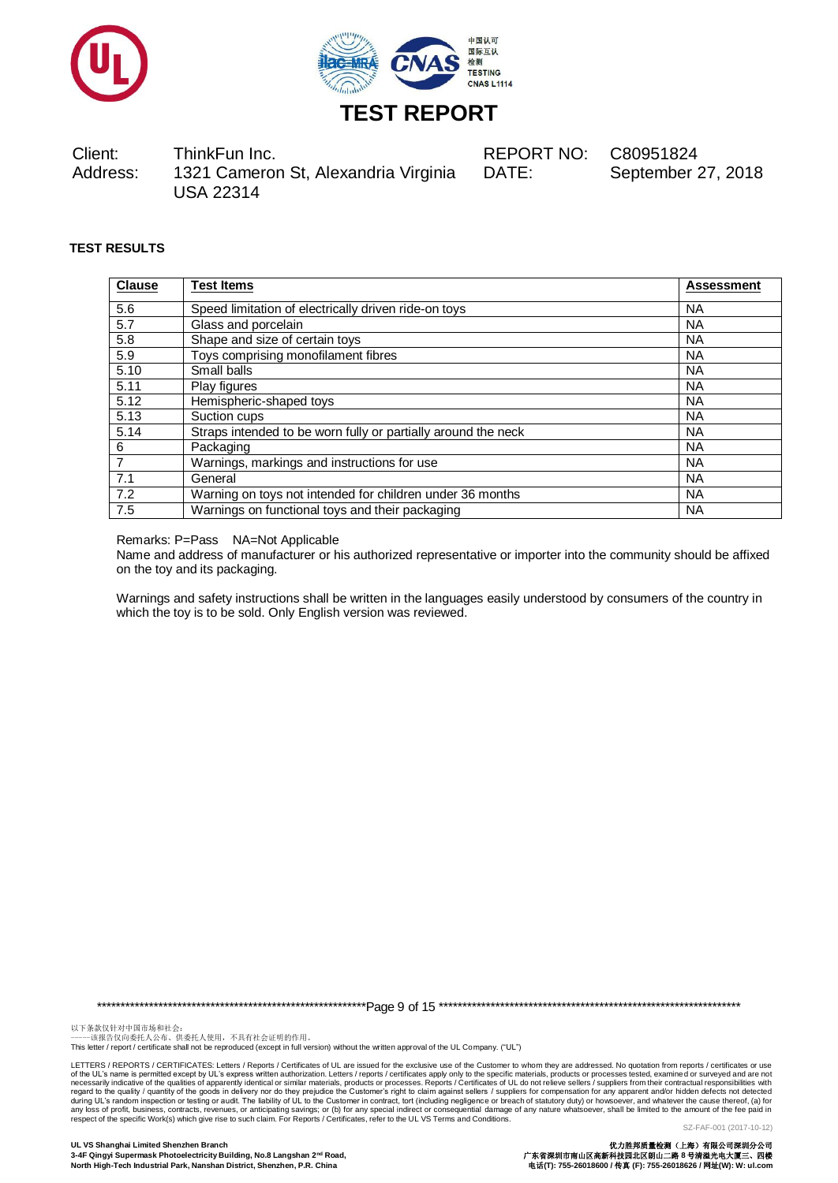



Client: ThinkFun Inc. REPORT NO: C80951824 Address: 1321 Cameron St, Alexandria Virginia USA 22314

DATE: September 27, 2018

### **TEST RESULTS**

| <b>Clause</b>  | <b>Test Items</b>                                             | <b>Assessment</b> |
|----------------|---------------------------------------------------------------|-------------------|
| 5.6            | Speed limitation of electrically driven ride-on toys          | <b>NA</b>         |
| 5.7            | Glass and porcelain                                           | <b>NA</b>         |
| 5.8            | Shape and size of certain toys                                | <b>NA</b>         |
| 5.9            | Toys comprising monofilament fibres                           | <b>NA</b>         |
| 5.10           | Small balls                                                   | <b>NA</b>         |
| 5.11           | Play figures                                                  | <b>NA</b>         |
| 5.12           | Hemispheric-shaped toys                                       | <b>NA</b>         |
| 5.13           | Suction cups                                                  | <b>NA</b>         |
| 5.14           | Straps intended to be worn fully or partially around the neck | <b>NA</b>         |
| 6              | Packaging                                                     | <b>NA</b>         |
| $\overline{7}$ | Warnings, markings and instructions for use                   | <b>NA</b>         |
| 7.1            | General                                                       | <b>NA</b>         |
| 7.2            | Warning on toys not intended for children under 36 months     | <b>NA</b>         |
| 7.5            | Warnings on functional toys and their packaging               | <b>NA</b>         |

Remarks: P=Pass NA=Not Applicable

Name and address of manufacturer or his authorized representative or importer into the community should be affixed on the toy and its packaging.

Warnings and safety instructions shall be written in the languages easily understood by consumers of the country in which the toy is to be sold. Only English version was reviewed.

\*\*\*\*\*\*\*\*\*\*\*\*\*\*\*\*\*\*\*\*\*\*\*\*\*\*\*\*\*\*\*\*\*\*\*\*\*\*\*\*\*\*\*\*\*\*\*\*\*\*\*\*\*\*\*\*\*Page 9 of 15 \*\*\*\*\*\*\*\*\*\*\*\*\*\*\*\*\*\*\*\*\*\*\*\*\*\*\*\*\*\*\*\*\*\*\*\*\*\*\*\*\*\*\*\*\*\*\*\*\*\*\*\*\*\*\*\*\*\*\*\*\*\*\*\*

以下条款仅针对中国市场和社会:<br>-----该报告仅向委托人公布、供委托人使用,不具有社会证明的作用。

This letter / report / certificate shall not be reproduced (except in full version) without the written approval of the UL Company. ("UL")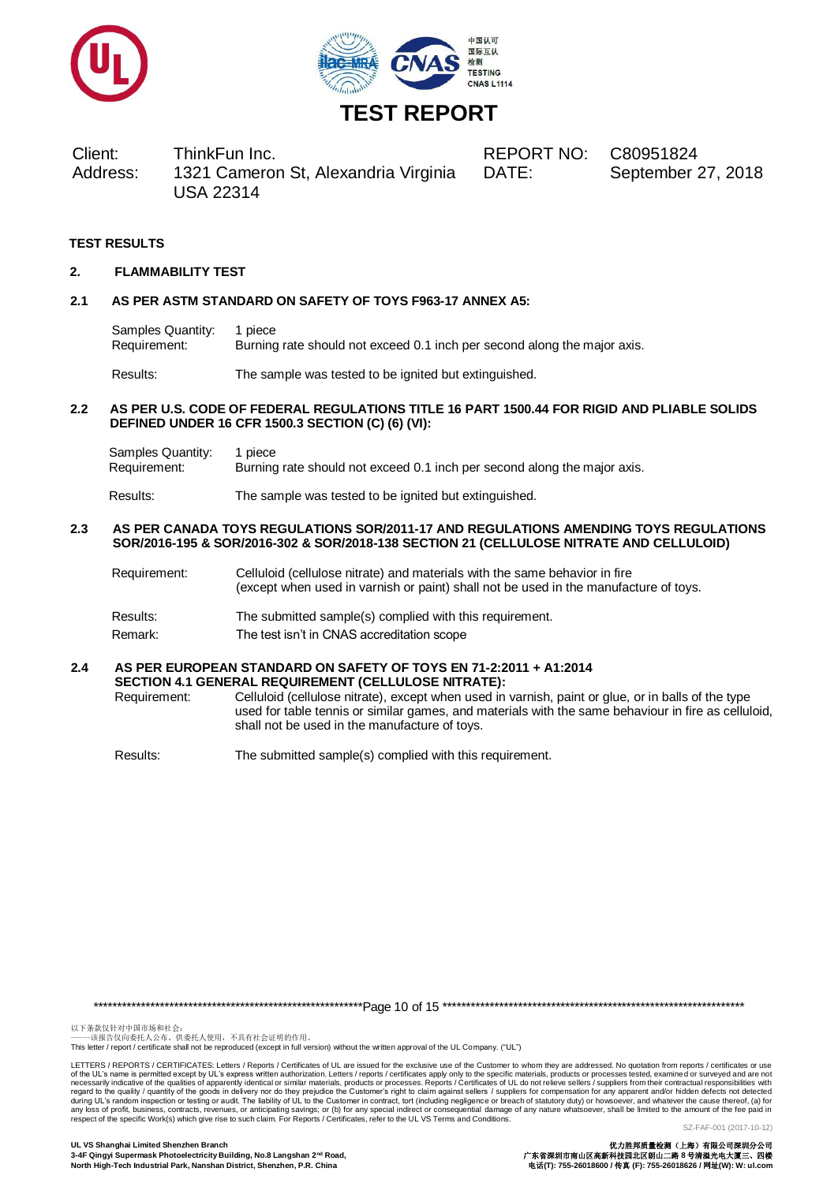



Client: ThinkFun Inc. REPORT NO: C80951824 Address: 1321 Cameron St, Alexandria Virginia USA 22314

DATE: September 27, 2018

#### **TEST RESULTS**

#### **2. FLAMMABILITY TEST**

#### **2.1 AS PER ASTM STANDARD ON SAFETY OF TOYS F963-17 ANNEX A5:**

Samples Quantity: 1 piece Requirement: Burning rate should not exceed 0.1 inch per second along the major axis.

Results: The sample was tested to be ignited but extinguished.

#### **2.2 AS PER U.S. CODE OF FEDERAL REGULATIONS TITLE 16 PART 1500.44 FOR RIGID AND PLIABLE SOLIDS DEFINED UNDER 16 CFR 1500.3 SECTION (C) (6) (VI):**

Samples Quantity: 1 piece Requirement: Burning rate should not exceed 0.1 inch per second along the major axis.

Results: The sample was tested to be ignited but extinguished.

#### **2.3 AS PER CANADA TOYS REGULATIONS SOR/2011-17 AND REGULATIONS AMENDING TOYS REGULATIONS SOR/2016-195 & SOR/2016-302 & SOR/2018-138 SECTION 21 (CELLULOSE NITRATE AND CELLULOID)**

- Requirement: Celluloid (cellulose nitrate) and materials with the same behavior in fire (except when used in varnish or paint) shall not be used in the manufacture of toys.
- Results: The submitted sample(s) complied with this requirement.
- Remark: The test isn't in CNAS accreditation scope

#### **2.4 AS PER EUROPEAN STANDARD ON SAFETY OF TOYS EN 71-2:2011 + A1:2014 SECTION 4.1 GENERAL REQUIREMENT (CELLULOSE NITRATE):**

Requirement: Celluloid (cellulose nitrate), except when used in varnish, paint or glue, or in balls of the type used for table tennis or similar games, and materials with the same behaviour in fire as celluloid, shall not be used in the manufacture of toys.

Results: The submitted sample(s) complied with this requirement.

\*\*\*\*\*\*\*\*\*\*\*\*\*\*\*\*\*\*\*\*\*\*\*\*\*\*\*\*\*\*\*\*\*\*\*\*\*\*\*\*\*\*\*\*\*\*\*\*\*\*\*\*\*\*\*\*\*Page 10 of 15 \*\*\*\*\*\*\*\*\*\*\*\*\*\*\*\*\*\*\*\*\*\*\*\*\*\*\*\*\*\*\*\*\*\*\*\*\*\*\*\*\*\*\*\*\*\*\*\*\*\*\*\*\*\*\*\*\*\*\*\*\*\*\*\*

以下条款仅针对中国市场和社会:<br>-----该报告仅向委托人公布、供委托人使用,不具有社会证明的作用。

This letter / report / certificate shall not be reproduced (except in full version) without the written approval of the UL Company. ("UL")

LETTERS / REPORTS / CERTIFICATES: Letters / Reports / Certificates of UL are issued for the exclusive use of the Customer to whom they are addressed. No quotation from reports / certificates or use of the UL's name is permitted except by UL's express written authorization. Letters / reports / certificates apply only to the specific materials, products or processes tested, examined or surveyed and are not necessarily indicative of the qualities of apparently identical or similar materials, products or processes. Reports / Certificates of UL do not relieve sellers / suppliers from their contractual responsibilities with<br>duri respect of the specific Work(s) which give rise to such claim. For Reports / Certificates, refer to the UL VS Terms and Conditions.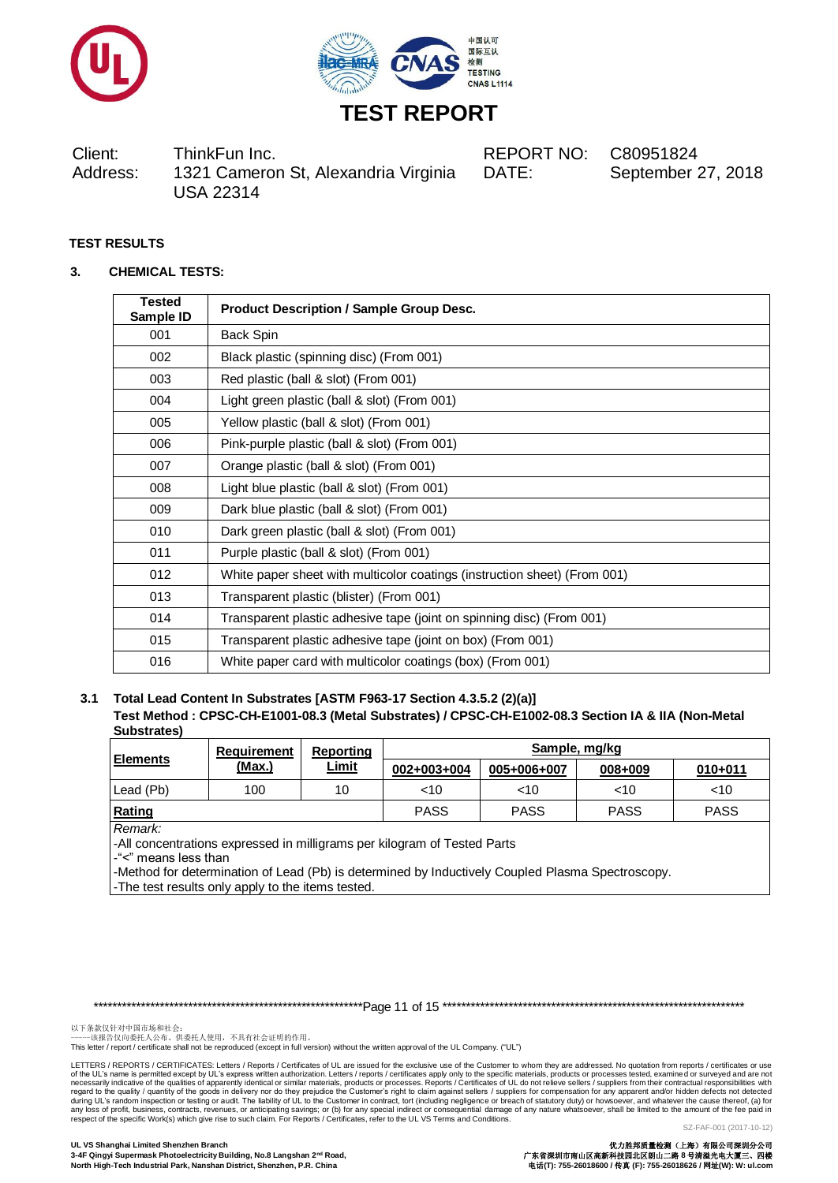



Client: ThinkFun Inc. REPORT NO: C80951824 Address: 1321 Cameron St, Alexandria Virginia USA 22314

DATE: September 27, 2018

# **TEST RESULTS**

### **3. CHEMICAL TESTS:**

| <b>Tested</b><br>Sample ID | <b>Product Description / Sample Group Desc.</b>                           |
|----------------------------|---------------------------------------------------------------------------|
| 001                        | Back Spin                                                                 |
| 002                        | Black plastic (spinning disc) (From 001)                                  |
| 003                        | Red plastic (ball & slot) (From 001)                                      |
| 004                        | Light green plastic (ball & slot) (From 001)                              |
| 005                        | Yellow plastic (ball & slot) (From 001)                                   |
| 006                        | Pink-purple plastic (ball & slot) (From 001)                              |
| 007                        | Orange plastic (ball & slot) (From 001)                                   |
| 008                        | Light blue plastic (ball & slot) (From 001)                               |
| 009                        | Dark blue plastic (ball & slot) (From 001)                                |
| 010                        | Dark green plastic (ball & slot) (From 001)                               |
| 011                        | Purple plastic (ball & slot) (From 001)                                   |
| 012                        | White paper sheet with multicolor coatings (instruction sheet) (From 001) |
| 013                        | Transparent plastic (blister) (From 001)                                  |
| 014                        | Transparent plastic adhesive tape (joint on spinning disc) (From 001)     |
| 015                        | Transparent plastic adhesive tape (joint on box) (From 001)               |
| 016                        | White paper card with multicolor coatings (box) (From 001)                |

**3.1 Total Lead Content In Substrates [ASTM F963-17 Section 4.3.5.2 (2)(a)] Test Method : CPSC-CH-E1001-08.3 (Metal Substrates) / CPSC-CH-E1002-08.3 Section IA & IIA (Non-Metal Substrates)**

|                                                                                                             | <b>Requirement</b> | <b>Reporting</b> | Sample, mg/kg |             |         |             |
|-------------------------------------------------------------------------------------------------------------|--------------------|------------------|---------------|-------------|---------|-------------|
| <b>Elements</b>                                                                                             | <u>(Max.)</u>      | <b>Limit</b>     | 002+003+004   | 005+006+007 | 008+009 | $010 + 011$ |
| Lead (Pb)                                                                                                   | 100                | 10               | $<$ 10        | ~10         | < 10    | $<$ 10      |
| Rating<br><b>PASS</b><br><b>PASS</b><br><b>PASS</b><br><b>PASS</b>                                          |                    |                  |               |             |         |             |
| Remark:<br>-All concentrations expressed in milligrams per kilogram of Tested Parts<br>-"<" means less than |                    |                  |               |             |         |             |

-Method for determination of Lead (Pb) is determined by Inductively Coupled Plasma Spectroscopy. -The test results only apply to the items tested.

\*\*\*\*\*\*\*\*\*\*\*\*\*\*\*\*\*\*\*\*\*\*\*\*\*\*\*\*\*\*\*\*\*\*\*\*\*\*\*\*\*\*\*\*\*\*\*\*\*\*\*\*\*\*\*\*\*Page 11 of 15 \*\*\*\*\*\*\*\*\*\*\*\*\*\*\*\*\*\*\*\*\*\*\*\*\*\*\*\*\*\*\*\*\*\*\*\*\*\*\*\*\*\*\*\*\*\*\*\*\*\*\*\*\*\*\*\*\*\*\*\*\*\*\*\*

以下条款仅针对中国市场和社会:<br>-----该报告仅向委托人公布、供委托人使用,不具有社会证明的作用。

This letter / report / certificate shall not be reproduced (except in full version) without the written approval of the UL Company. ("UL")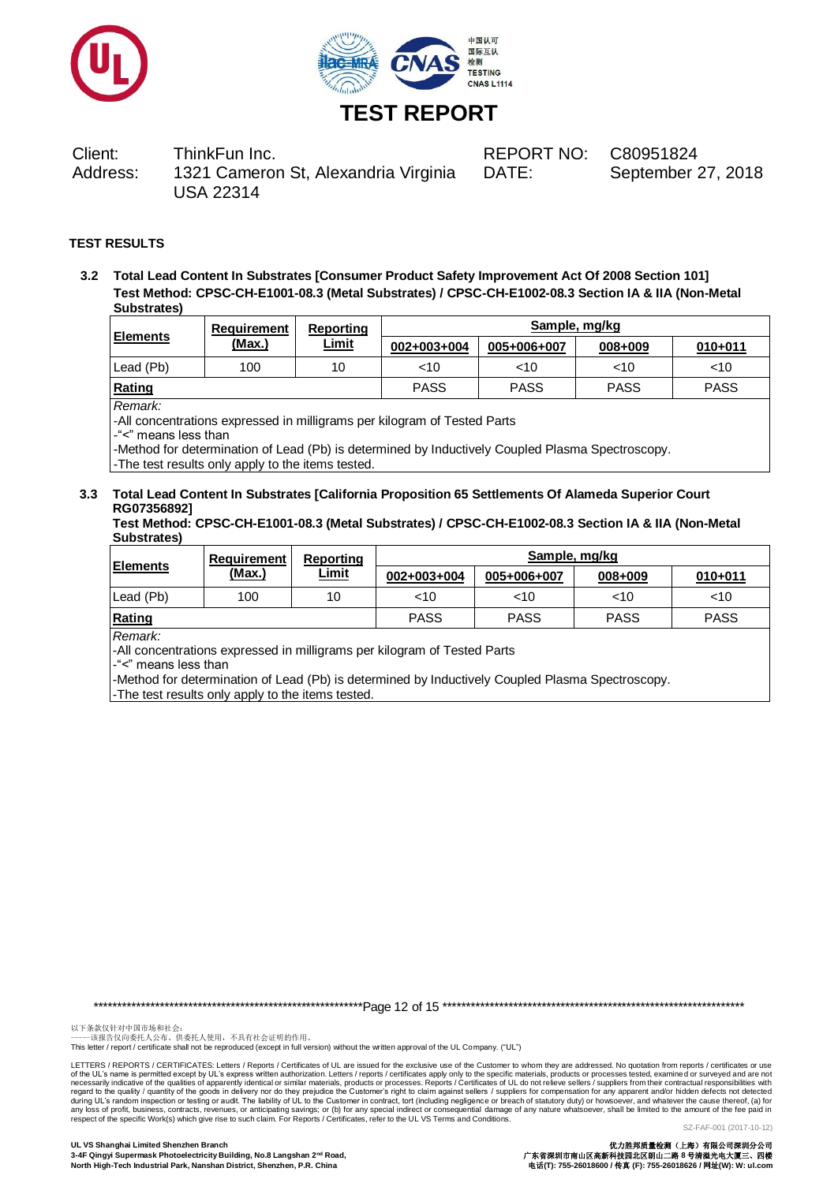



Client: ThinkFun Inc. REPORT NO: C80951824 Address: 1321 Cameron St, Alexandria Virginia USA 22314

DATE: September 27, 2018

### **TEST RESULTS**

**3.2 Total Lead Content In Substrates [Consumer Product Safety Improvement Act Of 2008 Section 101] Test Method: CPSC-CH-E1001-08.3 (Metal Substrates) / CPSC-CH-E1002-08.3 Section IA & IIA (Non-Metal Substrates)**

|                  | Requirement | Reporting    |             | Sample, mg/kg |             |             |
|------------------|-------------|--------------|-------------|---------------|-------------|-------------|
| <b>IElements</b> | (Max.)      | <u>Limit</u> | 002+003+004 | 005+006+007   | 008+009     | $010 + 011$ |
| Lead (Pb)        | 100         | 10           | 10          | ~10           | $<$ 10      | <10         |
| Rating           |             |              | <b>PASS</b> | <b>PASS</b>   | <b>PASS</b> | <b>PASS</b> |

*Remark:*

-All concentrations expressed in milligrams per kilogram of Tested Parts

-"<" means less than

-Method for determination of Lead (Pb) is determined by Inductively Coupled Plasma Spectroscopy.

-The test results only apply to the items tested.

### **3.3 Total Lead Content In Substrates [California Proposition 65 Settlements Of Alameda Superior Court RG07356892]**

**Test Method: CPSC-CH-E1001-08.3 (Metal Substrates) / CPSC-CH-E1002-08.3 Section IA & IIA (Non-Metal Substrates)**

| <b>IElements</b> | Requirement   | Reporting<br><u>Limit</u> | Sample, mg/kg |             |             |             |  |
|------------------|---------------|---------------------------|---------------|-------------|-------------|-------------|--|
|                  | <u>(Max.)</u> |                           | 002+003+004   | 005+006+007 | 008+009     | $010 + 011$ |  |
| Lead (Pb)        | 100           | 10                        | <10           | $<$ 10      | $<$ 10      | ~10         |  |
| Rating           |               |                           | <b>PASS</b>   | <b>PASS</b> | <b>PASS</b> | <b>PASS</b> |  |

*Remark:*

-All concentrations expressed in milligrams per kilogram of Tested Parts

-"<" means less than

-Method for determination of Lead (Pb) is determined by Inductively Coupled Plasma Spectroscopy.

-The test results only apply to the items tested.

\*\*\*\*\*\*\*\*\*\*\*\*\*\*\*\*\*\*\*\*\*\*\*\*\*\*\*\*\*\*\*\*\*\*\*\*\*\*\*\*\*\*\*\*\*\*\*\*\*\*\*\*\*\*\*\*\*Page 12 of 15 \*\*\*\*\*\*\*\*\*\*\*\*\*\*\*\*\*\*\*\*\*\*\*\*\*\*\*\*\*\*\*\*\*\*\*\*\*\*\*\*\*\*\*\*\*\*\*\*\*\*\*\*\*\*\*\*\*\*\*\*\*\*\*\*

以下条款仅针对中国市场和社会:<br>-----该报告仅向委托人公布、供委托人使用,不具有社会证明的作用。

This letter / report / certificate shall not be reproduced (except in full version) without the written approval of the UL Company. ("UL")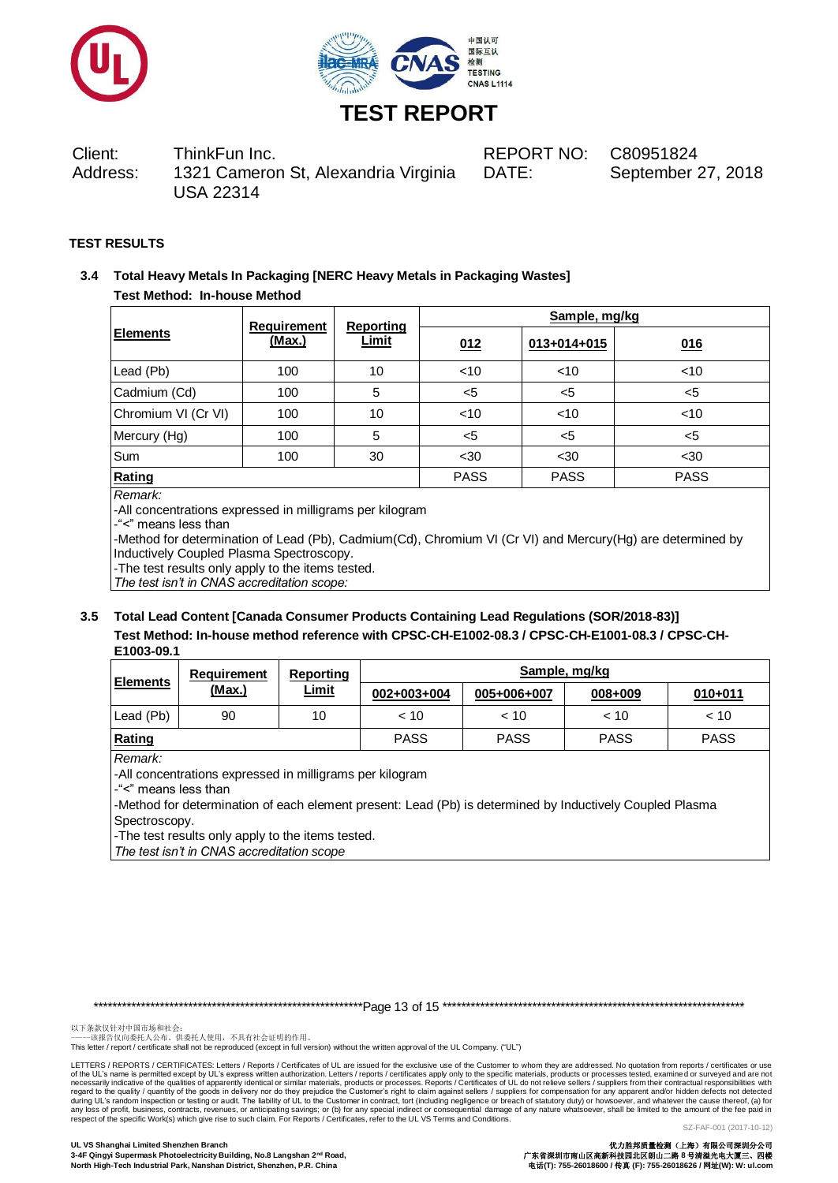



Client: ThinkFun Inc. REPORT NO: C80951824 Address: 1321 Cameron St, Alexandria Virginia USA 22314

DATE: September 27, 2018

### **TEST RESULTS**

# **3.4 Total Heavy Metals In Packaging [NERC Heavy Metals in Packaging Wastes] Test Method: In-house Method**

|                     | <b>Requirement</b> | <b>Reporting</b> | Sample, mg/kg |             |             |  |  |
|---------------------|--------------------|------------------|---------------|-------------|-------------|--|--|
| <b>Elements</b>     | (Max.)             | <b>Limit</b>     | 012           | 013+014+015 | 016         |  |  |
| Lead (Pb)           | 100                | 10               | $<$ 10        | $<$ 10      | $<$ 10      |  |  |
| Cadmium (Cd)        | 100                | 5                | $<$ 5         | $5$         | $<$ 5       |  |  |
| Chromium VI (Cr VI) | 100                | 10               | $<$ 10        | $<$ 10      | $<$ 10      |  |  |
| Mercury (Hg)        | 100                | 5                | $5$           | $5$         | $5$         |  |  |
| Sum                 | 100                | 30               | $30$          | $30$        | $30$        |  |  |
| Rating              |                    |                  | <b>PASS</b>   | <b>PASS</b> | <b>PASS</b> |  |  |
| Remark:             |                    |                  |               |             |             |  |  |

-All concentrations expressed in milligrams per kilogram

-"<" means less than

-Method for determination of Lead (Pb), Cadmium(Cd), Chromium VI (Cr VI) and Mercury(Hg) are determined by Inductively Coupled Plasma Spectroscopy.

-The test results only apply to the items tested.

*The test isn't in CNAS accreditation scope:*

# **3.5 Total Lead Content [Canada Consumer Products Containing Lead Regulations (SOR/2018-83)] Test Method: In-house method reference with CPSC-CH-E1002-08.3 / CPSC-CH-E1001-08.3 / CPSC-CH-E1003-09.1**

| <b>IElements</b> | Requirement<br>(Max.) | Reporting<br><u>Limit</u> | Sample, mg/kg |             |             |             |  |
|------------------|-----------------------|---------------------------|---------------|-------------|-------------|-------------|--|
|                  |                       |                           | 002+003+004   | 005+006+007 | 008+009     | $010 + 011$ |  |
| Lead (Pb)        | 90                    | 10                        | < 10          | < 10        | < 10        | < 10        |  |
| Rating           |                       |                           | <b>PASS</b>   | <b>PASS</b> | <b>PASS</b> | <b>PASS</b> |  |

*Remark:*

-All concentrations expressed in milligrams per kilogram

-"<" means less than

-Method for determination of each element present: Lead (Pb) is determined by Inductively Coupled Plasma Spectroscopy.

-The test results only apply to the items tested.

*The test isn't in CNAS accreditation scope*

\*\*\*\*\*\*\*\*\*\*\*\*\*\*\*\*\*\*\*\*\*\*\*\*\*\*\*\*\*\*\*\*\*\*\*\*\*\*\*\*\*\*\*\*\*\*\*\*\*\*\*\*\*\*\*\*\*Page 13 of 15 \*\*\*\*\*\*\*\*\*\*\*\*\*\*\*\*\*\*\*\*\*\*\*\*\*\*\*\*\*\*\*\*\*\*\*\*\*\*\*\*\*\*\*\*\*\*\*\*\*\*\*\*\*\*\*\*\*\*\*\*\*\*\*\*

以下条款仅针对中国市场和社会:<br>-----该报告仅向委托人公布、供委托人使用,不具有社会证明的作用。

This letter / report / certificate shall not be reproduced (except in full version) without the written approval of the UL Company. ("UL")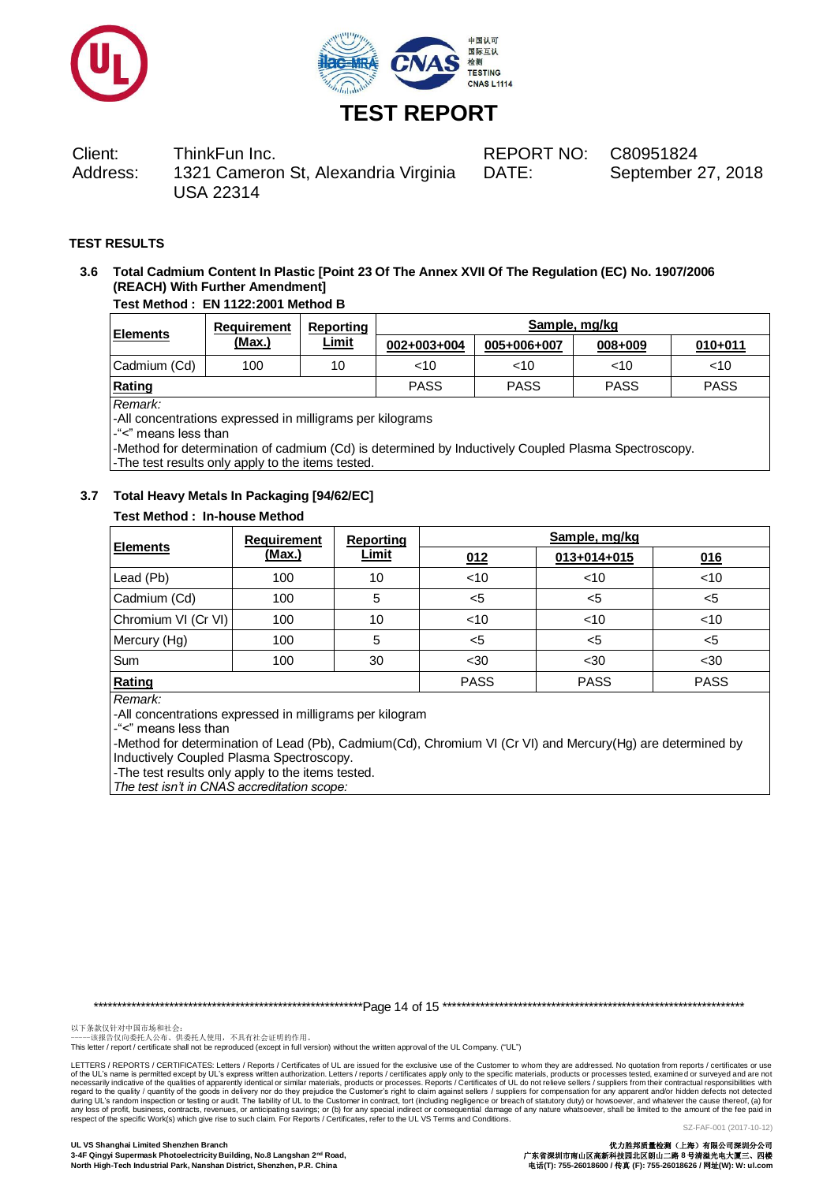



Client: ThinkFun Inc. REPORT NO: C80951824 Address: 1321 Cameron St, Alexandria Virginia USA 22314

DATE: September 27, 2018

# **TEST RESULTS**

# **3.6 Total Cadmium Content In Plastic [Point 23 Of The Annex XVII Of The Regulation (EC) No. 1907/2006 (REACH) With Further Amendment]**

# **Test Method : EN 1122:2001 Method B**

| <b>Elements</b> | Requirement<br><u>(Max.)</u> | Reporting<br><u>Limit</u> | Sample, mg/kg |             |             |             |
|-----------------|------------------------------|---------------------------|---------------|-------------|-------------|-------------|
|                 |                              |                           | 002+003+004   | 005+006+007 | 008+009     | $010 + 011$ |
| Cadmium (Cd)    | 100                          | 10                        | <10           | $<$ 10      | $<$ 10      | <10         |
| Rating          |                              |                           | <b>PASS</b>   | <b>PASS</b> | <b>PASS</b> | <b>PASS</b> |

*Remark:*

-All concentrations expressed in milligrams per kilograms

-"<" means less than

-Method for determination of cadmium (Cd) is determined by Inductively Coupled Plasma Spectroscopy.

-The test results only apply to the items tested.

# **3.7 Total Heavy Metals In Packaging [94/62/EC]**

# **Test Method : In-house Method**

| <b>Elements</b>     | Requirement | Reporting | Sample, mg/kg |             |             |  |
|---------------------|-------------|-----------|---------------|-------------|-------------|--|
|                     | (Max.)      | Limit     | 012           | 013+014+015 | 016         |  |
| Lead (Pb)           | 100         | 10        | < 10          | $<$ 10      | < 10        |  |
| Cadmium (Cd)        | 100         | 5         | $<$ 5         | $<$ 5       | <5          |  |
| Chromium VI (Cr VI) | 100         | 10        | $<$ 10        | $<$ 10      | < 10        |  |
| Mercury (Hg)        | 100         | 5         | $<$ 5         | <5          | <5          |  |
| <b>Sum</b>          | 100         | 30        | $30$          | $30$        | $30$        |  |
| Rating              |             |           | <b>PASS</b>   | <b>PASS</b> | <b>PASS</b> |  |

*Remark:*

-All concentrations expressed in milligrams per kilogram

-"<" means less than

-Method for determination of Lead (Pb), Cadmium(Cd), Chromium VI (Cr VI) and Mercury(Hg) are determined by Inductively Coupled Plasma Spectroscopy.

-The test results only apply to the items tested.

*The test isn't in CNAS accreditation scope:*

\*\*\*\*\*\*\*\*\*\*\*\*\*\*\*\*\*\*\*\*\*\*\*\*\*\*\*\*\*\*\*\*\*\*\*\*\*\*\*\*\*\*\*\*\*\*\*\*\*\*\*\*\*\*\*\*\*Page 14 of 15 \*\*\*\*\*\*\*\*\*\*\*\*\*\*\*\*\*\*\*\*\*\*\*\*\*\*\*\*\*\*\*\*\*\*\*\*\*\*\*\*\*\*\*\*\*\*\*\*\*\*\*\*\*\*\*\*\*\*\*\*\*\*\*\*

以下条款仅针对中国市场和社会:<br>-----该报告仅向委托人公布、供委托人使用,不具有社会证明的作用。

This letter / report / certificate shall not be reproduced (except in full version) without the written approval of the UL Company. ("UL")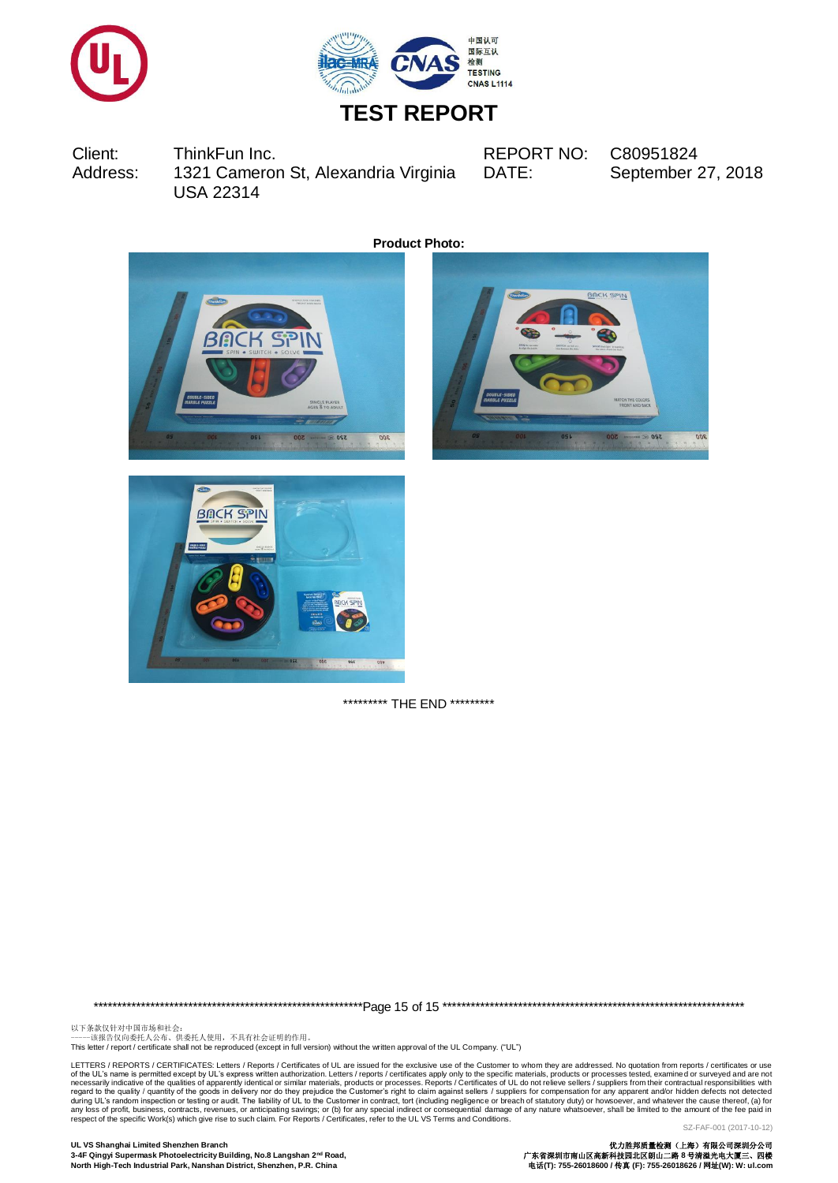



Client: ThinkFun Inc. REPORT NO: C80951824 Address: 1321 Cameron St, Alexandria Virginia USA 22314

DATE: September 27, 2018

 $\overline{000}$ 

**Product Photo:**



\*\*\*\*\*\*\*\*\*\* THE END \*\*\*\*\*\*\*\*\*

\*\*\*\*\*\*\*\*\*\*\*\*\*\*\*\*\*\*\*\*\*\*\*\*\*\*\*\*\*\*\*\*\*\*\*\*\*\*\*\*\*\*\*\*\*\*\*\*\*\*\*\*\*\*\*\*\*Page 15 of 15 \*\*\*\*\*\*\*\*\*\*\*\*\*\*\*\*\*\*\*\*\*\*\*\*\*\*\*\*\*\*\*\*\*\*\*\*\*\*\*\*\*\*\*\*\*\*\*\*\*\*\*\*\*\*\*\*\*\*\*\*\*\*\*\*

以下条款仅针对中国市场和社会:<br>-----该报告仅向委托人公布、供委托人使用,不具有社会证明的作用。

This letter / report / certificate shall not be reproduced (except in full version) without the written approval of the UL Company. ("UL")